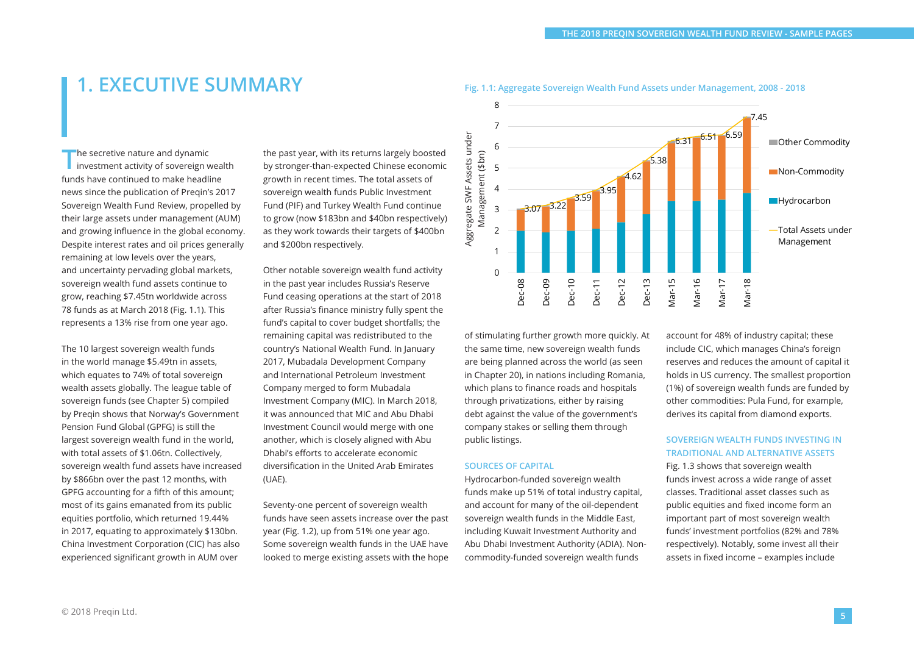# **1. EXECUTIVE SUMMARY**

**The secretive nature and dynamic<br>investment activity of sovereign wealth** funds have continued to make headline news since the publication of Preqin's 2017 Sovereign Wealth Fund Review, propelled by their large assets under management (AUM) and growing influence in the global economy. Despite interest rates and oil prices generally remaining at low levels over the years, and uncertainty pervading global markets, sovereign wealth fund assets continue to grow, reaching \$7.45tn worldwide across 78 funds as at March 2018 (Fig. 1.1). This represents a 13% rise from one year ago.

The 10 largest sovereign wealth funds in the world manage \$5.49tn in assets, which equates to 74% of total sovereign wealth assets globally. The league table of sovereign funds (see Chapter 5) compiled by Preqin shows that Norway's Government Pension Fund Global (GPFG) is still the largest sovereign wealth fund in the world, with total assets of \$1.06tn. Collectively, sovereign wealth fund assets have increased by \$866bn over the past 12 months, with GPFG accounting for a fifth of this amount; most of its gains emanated from its public equities portfolio, which returned 19.44% in 2017, equating to approximately \$130bn. China Investment Corporation (CIC) has also experienced significant growth in AUM over

the past year, with its returns largely boosted by stronger-than-expected Chinese economic growth in recent times. The total assets of sovereign wealth funds Public Investment Fund (PIF) and Turkey Wealth Fund continue to grow (now \$183bn and \$40bn respectively) as they work towards their targets of \$400bn and \$200bn respectively.

Other notable sovereign wealth fund activity in the past year includes Russia's Reserve Fund ceasing operations at the start of 2018 after Russia's finance ministry fully spent the fund's capital to cover budget shortfalls; the remaining capital was redistributed to the country's National Wealth Fund. In January 2017, Mubadala Development Company and International Petroleum Investment Company merged to form Mubadala Investment Company (MIC). In March 2018, it was announced that MIC and Abu Dhabi Investment Council would merge with one another, which is closely aligned with Abu Dhabi's efforts to accelerate economic diversification in the United Arab Emirates (UAE).

Seventy-one percent of sovereign wealth funds have seen assets increase over the past year (Fig. 1.2), up from 51% one year ago. Some sovereign wealth funds in the UAE have looked to merge existing assets with the hope



**Fig. 1.1: Aggregate Sovereign Wealth Fund Assets under Management, 2008 - 2018**

of stimulating further growth more quickly. At the same time, new sovereign wealth funds are being planned across the world (as seen in Chapter 20), in nations including Romania, which plans to finance roads and hospitals through privatizations, either by raising debt against the value of the government's company stakes or selling them through public listings.

### **SOURCES OF CAPITAL**

Hydrocarbon-funded sovereign wealth funds make up 51% of total industry capital, and account for many of the oil-dependent sovereign wealth funds in the Middle East, including Kuwait Investment Authority and Abu Dhabi Investment Authority (ADIA). Noncommodity-funded sovereign wealth funds

account for 48% of industry capital; these include CIC, which manages China's foreign reserves and reduces the amount of capital it holds in US currency. The smallest proportion (1%) of sovereign wealth funds are funded by other commodities: Pula Fund, for example, derives its capital from diamond exports.

### **SOVEREIGN WEALTH FUNDS INVESTING IN TRADITIONAL AND ALTERNATIVE ASSETS**

Fig. 1.3 shows that sovereign wealth funds invest across a wide range of asset classes. Traditional asset classes such as public equities and fixed income form an important part of most sovereign wealth funds' investment portfolios (82% and 78% respectively). Notably, some invest all their assets in fixed income – examples include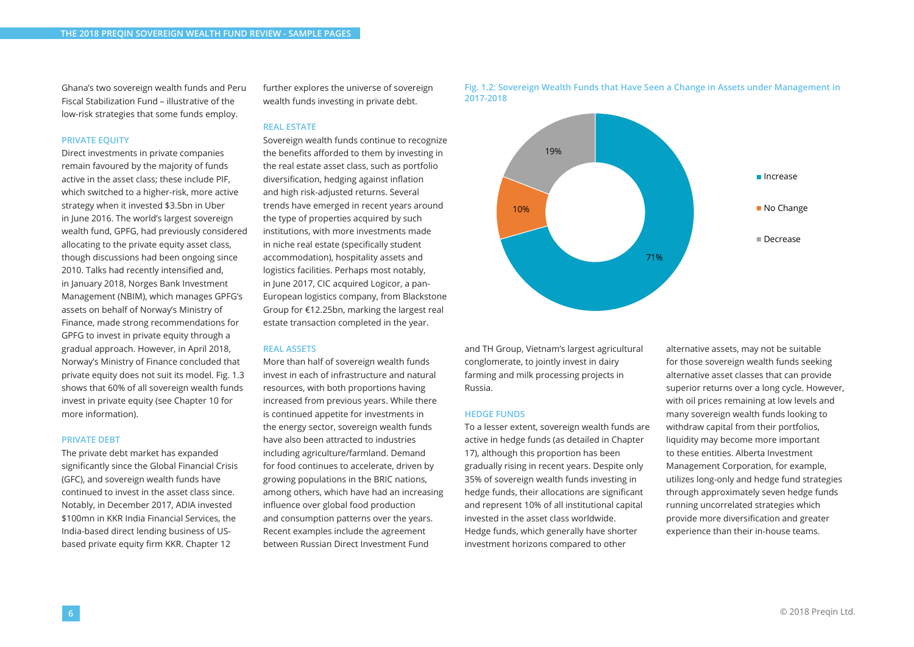Ghana's two sovereign wealth funds and Peru Fiscal Stabilization Fund – illustrative of the low-risk strategies that some funds employ.

### **PRIVATE EQUITY**

Direct investments in private companies remain favoured by the majority of funds active in the asset class; these include PIF, which switched to a higher-risk, more active strategy when it invested \$3.5bn in Uber in June 2016. The world's largest sovereign wealth fund, GPFG, had previously considered allocating to the private equity asset class, though discussions had been ongoing since 2010. Talks had recently intensified and, in January 2018, Norges Bank Investment Management (NBIM), which manages GPFG's assets on behalf of Norway's Ministry of Finance, made strong recommendations for GPFG to invest in private equity through a gradual approach. However, in April 2018, Norway's Ministry of Finance concluded that private equity does not suit its model. Fig. 1.3 shows that 60% of all sovereign wealth funds invest in private equity (see Chapter 10 for more information).

### **PRIVATE DEBT**

The private debt market has expanded significantly since the Global Financial Crisis (GFC), and sovereign wealth funds have continued to invest in the asset class since. Notably, in December 2017, ADIA invested \$100mn in KKR India Financial Services, the India-based direct lending business of USbased private equity firm KKR. Chapter 12

further explores the universe of sovereign wealth funds investing in private debt.

### **REAL ESTATE**

Sovereign wealth funds continue to recognize the benefits afforded to them by investing in the real estate asset class, such as portfolio diversification, hedging against inflation and high risk-adjusted returns. Several trends have emerged in recent years around the type of properties acquired by such institutions, with more investments made in niche real estate (specifically student accommodation), hospitality assets and logistics facilities. Perhaps most notably, in June 2017, CIC acquired Logicor, a pan-European logistics company, from Blackstone Group for €12.25bn, marking the largest real estate transaction completed in the year.

### **REAL ASSETS**

More than half of sovereign wealth funds invest in each of infrastructure and natural resources, with both proportions having increased from previous years. While there is continued appetite for investments in the energy sector, sovereign wealth funds have also been attracted to industries including agriculture/farmland. Demand for food continues to accelerate, driven by growing populations in the BRIC nations, among others, which have had an increasing influence over global food production and consumption patterns over the years. Recent examples include the agreement between Russian Direct Investment Fund



and TH Group, Vietnam's largest agricultural conglomerate, to jointly invest in dairy farming and milk processing projects in Russia.

#### **HEDGE FUNDS**

To a lesser extent, sovereign wealth funds are active in hedge funds (as detailed in Chapter 17), although this proportion has been gradually rising in recent years. Despite only 35% of sovereign wealth funds investing in hedge funds, their allocations are significant and represent 10% of all institutional capital invested in the asset class worldwide. Hedge funds, which generally have shorter investment horizons compared to other

alternative assets, may not be suitable for those sovereign wealth funds seeking alternative asset classes that can provide superior returns over a long cycle. However, with oil prices remaining at low levels and many sovereign wealth funds looking to withdraw capital from their portfolios, liquidity may become more important to these entities. Alberta Investment Management Corporation, for example, utilizes long-only and hedge fund strategies through approximately seven hedge funds running uncorrelated strategies which provide more diversification and greater experience than their in-house teams.

### **Fig. 1.2: Sovereign Wealth Funds that Have Seen a Change in Assets under Management in 2017-2018**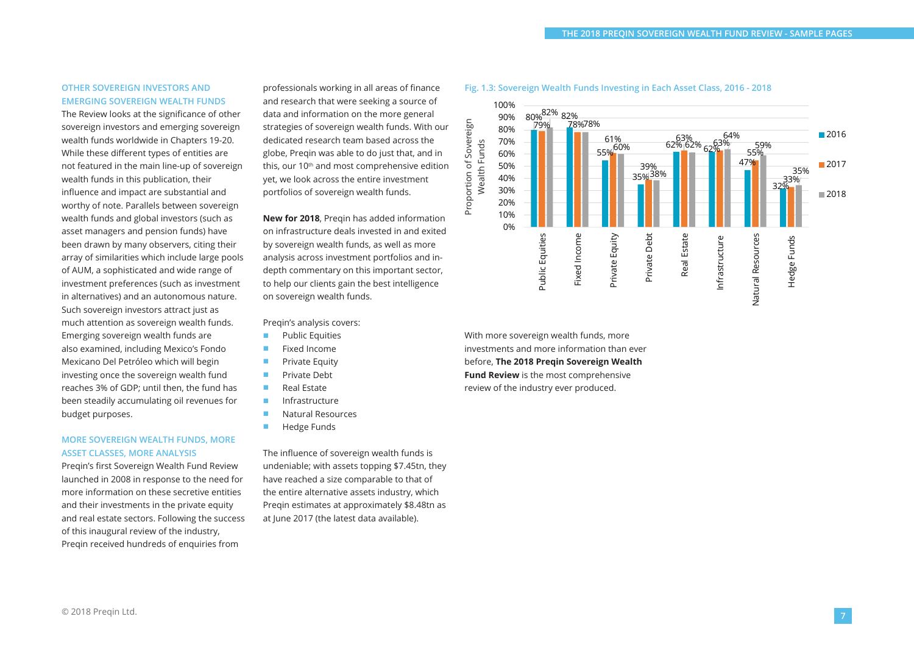### **OTHER SOVEREIGN INVESTORS AND EMERGING SOVEREIGN WEALTH FUNDS**

The Review looks at the significance of other sovereign investors and emerging sovereign wealth funds worldwide in Chapters 19-20. While these different types of entities are not featured in the main line-up of sovereign wealth funds in this publication, their influence and impact are substantial and worthy of note. Parallels between sovereign wealth funds and global investors (such as asset managers and pension funds) have been drawn by many observers, citing their array of similarities which include large pools of AUM, a sophisticated and wide range of investment preferences (such as investment in alternatives) and an autonomous nature. Such sovereign investors attract just as much attention as sovereign wealth funds. Emerging sovereign wealth funds are also examined, including Mexico's Fondo Mexicano Del Petróleo which will begin investing once the sovereign wealth fund reaches 3% of GDP; until then, the fund has been steadily accumulating oil revenues for budget purposes.

### **MORE SOVEREIGN WEALTH FUNDS, MORE ASSET CLASSES, MORE ANALYSIS**

Preqin's first Sovereign Wealth Fund Review launched in 2008 in response to the need for more information on these secretive entities and their investments in the private equity and real estate sectors. Following the success of this inaugural review of the industry, Pregin received hundreds of enquiries from

professionals working in all areas of finance and research that were seeking a source of data and information on the more general strategies of sovereign wealth funds. With our dedicated research team based across the globe, Preqin was able to do just that, and in this, our 10<sup>th</sup> and most comprehensive edition yet, we look across the entire investment portfolios of sovereign wealth funds.

**New for 2018**, Preqin has added information on infrastructure deals invested in and exited by sovereign wealth funds, as well as more analysis across investment portfolios and indepth commentary on this important sector, to help our clients gain the best intelligence on sovereign wealth funds.

Preqin's analysis covers:

- Public Equities
- Fixed Income
- Private Equity
- Private Debt
- Real Estate
- Infrastructure
- Natural Resources
- Hedge Funds

The influence of sovereign wealth funds is undeniable; with assets topping \$7.45tn, they have reached a size comparable to that of the entire alternative assets industry, which Preqin estimates at approximately \$8.48tn as at June 2017 (the latest data available).





With more sovereign wealth funds, more investments and more information than ever before, **The 2018 Preqin Sovereign Wealth Fund Review** is the most comprehensive review of the industry ever produced.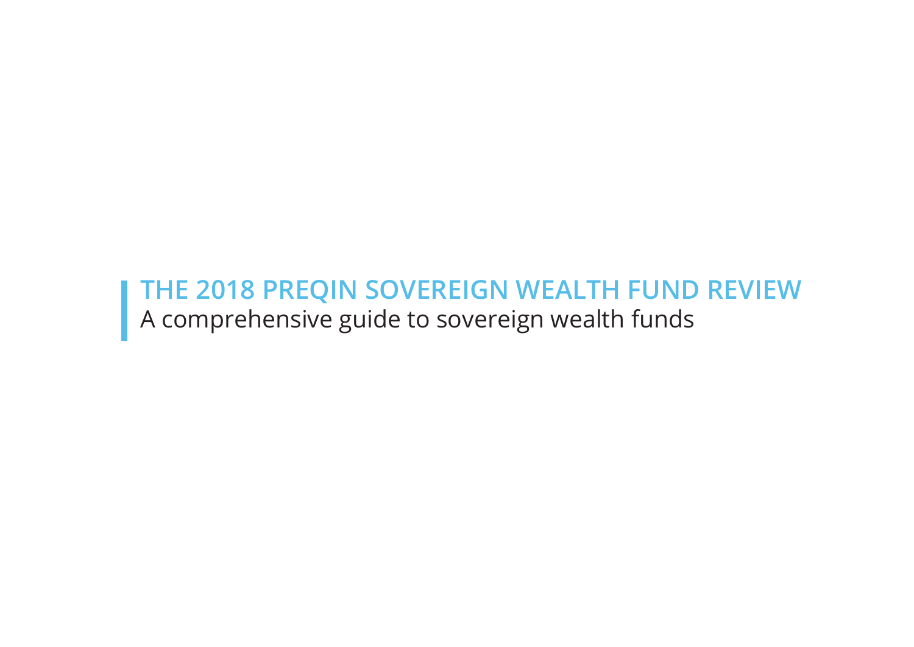# **THE 2018 PREQIN SOVEREIGN WEALTH FUND REVIEW** A comprehensive guide to sovereign wealth funds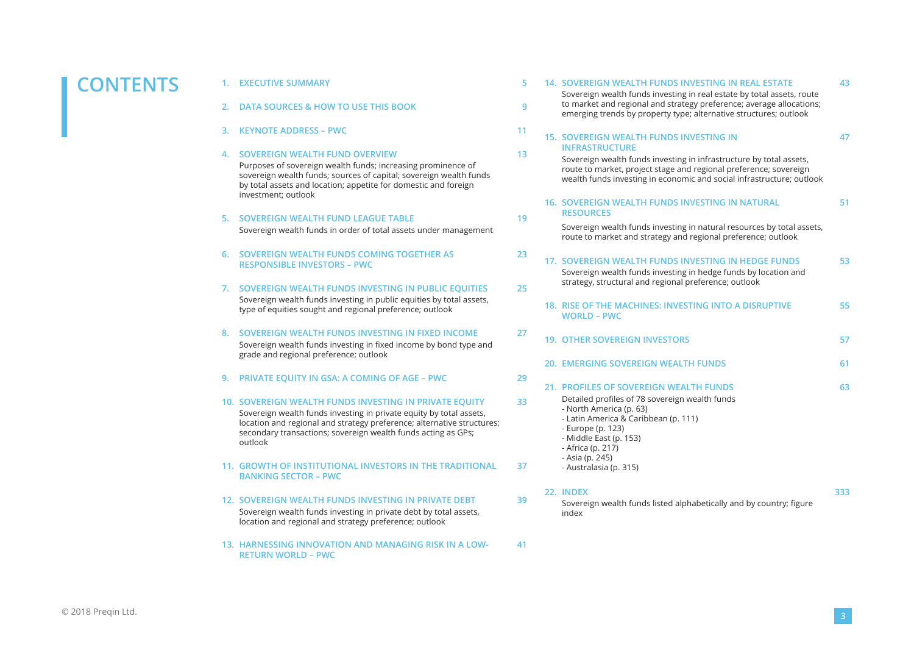# **CONTENTS 1. EXECUTIVE SUMMARY <sup>5</sup>**

- 
- **2. DATA SOURCES & HOW TO USE THIS BOOK 9**
- **3. KEYNOTE ADDRESS PWC 11**

### **4. SOVEREIGN WEALTH FUND OVERVIEW 13**

Purposes of sovereign wealth funds; increasing prominence of sovereign wealth funds; sources of capital; sovereign wealth funds by total assets and location; appetite for domestic and foreign investment; outlook

### **5. SOVEREIGN WEALTH FUND LEAGUE TABLE 19** Sovereign wealth funds in order of total assets under management

- **6. SOVEREIGN WEALTH FUNDS COMING TOGETHER AS RESPONSIBLE INVESTORS – PWC**
- **7. SOVEREIGN WEALTH FUNDS INVESTING IN PUBLIC EQUITIES 25** Sovereign wealth funds investing in public equities by total assets, type of equities sought and regional preference; outlook
- **8. SOVEREIGN WEALTH FUNDS INVESTING IN FIXED INCOME 27** Sovereign wealth funds investing in fixed income by bond type and grade and regional preference; outlook
- **9. PRIVATE EQUITY IN GSA: A COMING OF AGE PWC 29**
- **10. SOVEREIGN WEALTH FUNDS INVESTING IN PRIVATE EQUITY 33** Sovereign wealth funds investing in private equity by total assets, location and regional and strategy preference; alternative structures; secondary transactions; sovereign wealth funds acting as GPs; outlook
- **11. GROWTH OF INSTITUTIONAL INVESTORS IN THE TRADITIONAL BANKING SECTOR – PWC**
- **12. SOVEREIGN WEALTH FUNDS INVESTING IN PRIVATE DEBT 39** Sovereign wealth funds investing in private debt by total assets, location and regional and strategy preference; outlook
- **13. HARNESSING INNOVATION AND MANAGING RISK IN A LOW-RETURN WORLD – PWC**

**41**

| 5  | 14. SOVEREIGN WEALTH FUNDS INVESTING IN REAL ESTATE                                                                                                                                                                                        | 43  |
|----|--------------------------------------------------------------------------------------------------------------------------------------------------------------------------------------------------------------------------------------------|-----|
| 9  | Sovereign wealth funds investing in real estate by total assets, route<br>to market and regional and strategy preference; average allocations;<br>emerging trends by property type; alternative structures; outlook                        |     |
| 11 | <b>15. SOVEREIGN WEALTH FUNDS INVESTING IN</b>                                                                                                                                                                                             | 47  |
| 13 | <b>INFRASTRUCTURE</b><br>Sovereign wealth funds investing in infrastructure by total assets,<br>route to market, project stage and regional preference; sovereign<br>wealth funds investing in economic and social infrastructure; outlook |     |
| 19 | 16. SOVEREIGN WEALTH FUNDS INVESTING IN NATURAL<br><b>RESOURCES</b>                                                                                                                                                                        | 51  |
|    | Sovereign wealth funds investing in natural resources by total assets,<br>route to market and strategy and regional preference; outlook                                                                                                    |     |
| 23 | 17. SOVEREIGN WEALTH FUNDS INVESTING IN HEDGE FUNDS<br>Sovereign wealth funds investing in hedge funds by location and                                                                                                                     | 53  |
| 25 | strategy, structural and regional preference; outlook                                                                                                                                                                                      |     |
|    | 18. RISE OF THE MACHINES: INVESTING INTO A DISRUPTIVE<br><b>WORLD - PWC</b>                                                                                                                                                                | 55  |
| 27 | <b>19. OTHER SOVEREIGN INVESTORS</b>                                                                                                                                                                                                       | 57  |
|    | <b>20. EMERGING SOVEREIGN WEALTH FUNDS</b>                                                                                                                                                                                                 | 61  |
| 29 | 21. PROFILES OF SOVEREIGN WEALTH FUNDS                                                                                                                                                                                                     | 63  |
| 33 | Detailed profiles of 78 sovereign wealth funds<br>- North America (p. 63)                                                                                                                                                                  |     |
|    | - Latin America & Caribbean (p. 111)<br>- Europe (p. 123)<br>- Middle East (p. 153)<br>- Africa (p. 217)                                                                                                                                   |     |
| 37 | - Asia (p. 245)<br>- Australasia (p. 315)                                                                                                                                                                                                  |     |
| 39 | 22. INDEX<br>Sovereign wealth funds listed alphabetically and by country; figure<br>xehni                                                                                                                                                  | 333 |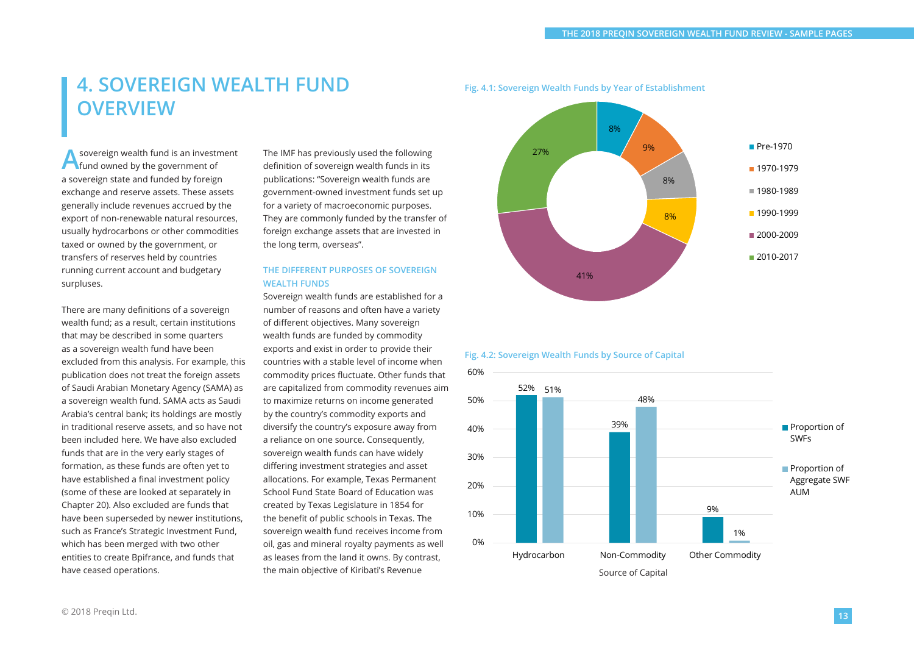# **4. SOVEREIGN WEALTH FUND OVERVIEW**

**A** sovereign wealth fund is an investment<br> **A** fund owned by the government of a sovereign state and funded by foreign exchange and reserve assets. These assets generally include revenues accrued by the export of non-renewable natural resources, usually hydrocarbons or other commodities taxed or owned by the government, or transfers of reserves held by countries running current account and budgetary surpluses.

There are many definitions of a sovereign wealth fund; as a result, certain institutions that may be described in some quarters as a sovereign wealth fund have been excluded from this analysis. For example, this publication does not treat the foreign assets of Saudi Arabian Monetary Agency (SAMA) as a sovereign wealth fund. SAMA acts as Saudi Arabia's central bank; its holdings are mostly in traditional reserve assets, and so have not been included here. We have also excluded funds that are in the very early stages of formation, as these funds are often yet to have established a final investment policy (some of these are looked at separately in Chapter 20). Also excluded are funds that have been superseded by newer institutions, such as France's Strategic Investment Fund, which has been merged with two other entities to create Bpifrance, and funds that have ceased operations.

The IMF has previously used the following definition of sovereign wealth funds in its publications: "Sovereign wealth funds are government-owned investment funds set up for a variety of macroeconomic purposes. They are commonly funded by the transfer of foreign exchange assets that are invested in the long term, overseas".

### **THE DIFFERENT PURPOSES OF SOVEREIGN WEALTH FUNDS**

Sovereign wealth funds are established for a number of reasons and often have a variety of different objectives. Many sovereign wealth funds are funded by commodity exports and exist in order to provide their countries with a stable level of income when commodity prices fluctuate. Other funds that are capitalized from commodity revenues aim to maximize returns on income generated by the country's commodity exports and diversify the country's exposure away from a reliance on one source. Consequently, sovereign wealth funds can have widely differing investment strategies and asset allocations. For example, Texas Permanent School Fund State Board of Education was created by Texas Legislature in 1854 for the benefit of public schools in Texas. The sovereign wealth fund receives income from oil, gas and mineral royalty payments as well as leases from the land it owns. By contrast, the main objective of Kiribati's Revenue







### **Fig. 4.1: Sovereign Wealth Funds by Year of Establishment**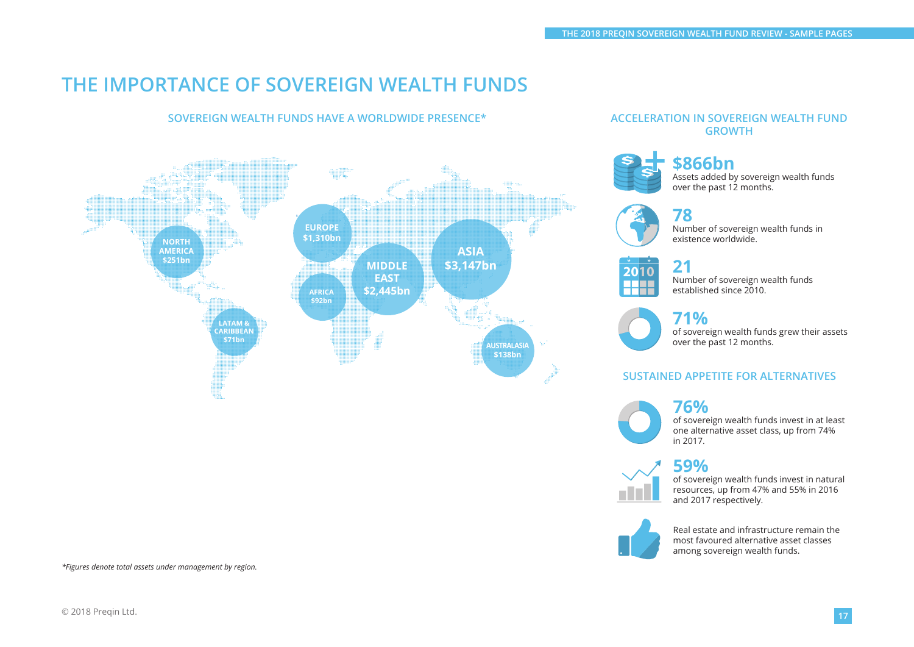# **THE IMPORTANCE OF SOVEREIGN WEALTH FUNDS**

### **SOVEREIGN WEALTH FUNDS HAVE A WORLDWIDE PRESENCE\***



*\*Figures denote total assets under management by region.*

### **ACCELERATION IN SOVEREIGN WEALTH FUND GROWTH**



### **\$866bn** Assets added by sovereign wealth funds over the past 12 months.





# **2010**

**21** Number of sovereign wealth funds established since 2010.



### **71%**

of sovereign wealth funds grew their assets over the past 12 months.

### **SUSTAINED APPETITE FOR ALTERNATIVES**

### **76%**



of sovereign wealth funds invest in at least one alternative asset class, up from 74% in 2017.

### **59%**



of sovereign wealth funds invest in natural resources, up from 47% and 55% in 2016 and 2017 respectively.



Real estate and infrastructure remain the most favoured alternative asset classes among sovereign wealth funds.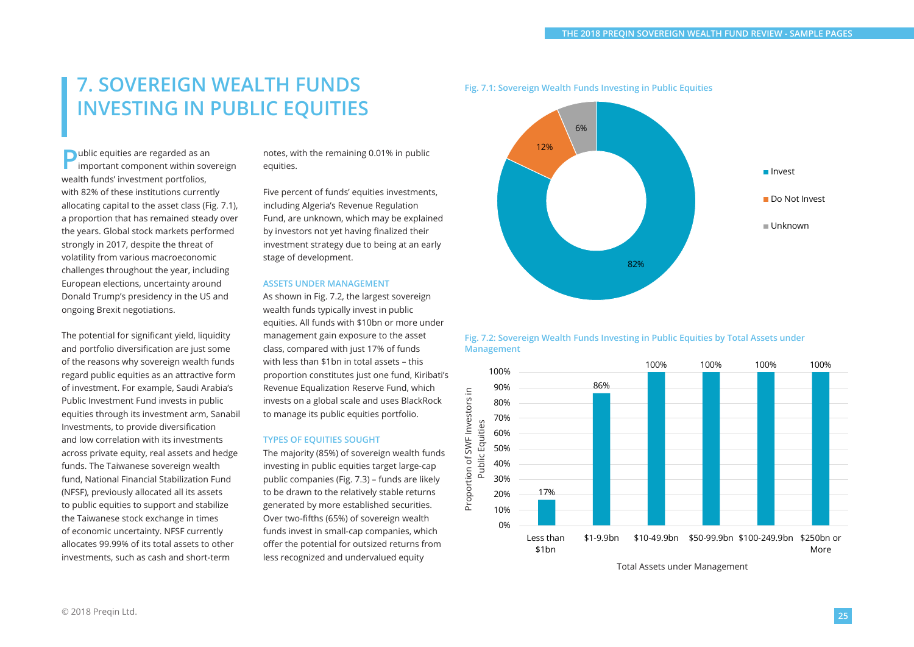# **7. SOVEREIGN WEALTH FUNDS INVESTING IN PUBLIC EQUITIES**

**P**ublic equities are regarded as an important component within sovereign wealth funds' investment portfolios, with 82% of these institutions currently allocating capital to the asset class (Fig. 7.1), a proportion that has remained steady over the years. Global stock markets performed strongly in 2017, despite the threat of volatility from various macroeconomic challenges throughout the year, including European elections, uncertainty around Donald Trump's presidency in the US and ongoing Brexit negotiations.

The potential for significant yield, liquidity and portfolio diversification are just some of the reasons why sovereign wealth funds regard public equities as an attractive form of investment. For example, Saudi Arabia's Public Investment Fund invests in public equities through its investment arm, Sanabil Investments, to provide diversification and low correlation with its investments across private equity, real assets and hedge funds. The Taiwanese sovereign wealth fund, National Financial Stabilization Fund (NFSF), previously allocated all its assets to public equities to support and stabilize the Taiwanese stock exchange in times of economic uncertainty. NFSF currently allocates 99.99% of its total assets to other investments, such as cash and short-term

notes, with the remaining 0.01% in public equities.

Five percent of funds' equities investments, including Algeria's Revenue Regulation Fund, are unknown, which may be explained by investors not yet having finalized their investment strategy due to being at an early stage of development.

### **ASSETS UNDER MANAGEMENT**

As shown in Fig. 7.2, the largest sovereign wealth funds typically invest in public equities. All funds with \$10bn or more under management gain exposure to the asset class, compared with just 17% of funds with less than \$1bn in total assets – this proportion constitutes just one fund, Kiribati's Revenue Equalization Reserve Fund, which invests on a global scale and uses BlackRock to manage its public equities portfolio.

### **TYPES OF EQUITIES SOUGHT**

The majority (85%) of sovereign wealth funds investing in public equities target large-cap public companies (Fig. 7.3) – funds are likely to be drawn to the relatively stable returns generated by more established securities. Over two-fifths (65%) of sovereign wealth funds invest in small-cap companies, which offer the potential for outsized returns from less recognized and undervalued equity



**Fig. 7.1: Sovereign Wealth Funds Investing in Public Equities**

### **Fig. 7.2: Sovereign Wealth Funds Investing in Public Equities by Total Assets under Management**



Total Assets under Management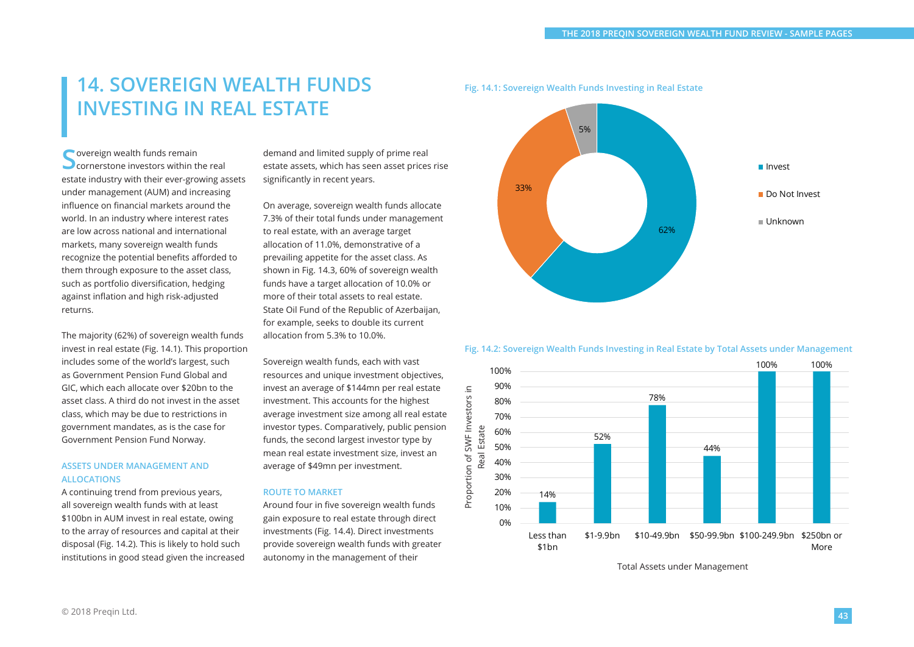# **14. SOVEREIGN WEALTH FUNDS INVESTING IN REAL ESTATE**

Sovereign wealth funds remain<br>Sornerstone investors within the real estate industry with their ever-growing assets under management (AUM) and increasing influence on financial markets around the world. In an industry where interest rates are low across national and international markets, many sovereign wealth funds recognize the potential benefits afforded to them through exposure to the asset class, such as portfolio diversification, hedging against inflation and high risk-adjusted returns.

The majority (62%) of sovereign wealth funds invest in real estate (Fig. 14.1). This proportion includes some of the world's largest, such as Government Pension Fund Global and GIC, which each allocate over \$20bn to the asset class. A third do not invest in the asset class, which may be due to restrictions in government mandates, as is the case for Government Pension Fund Norway.

### **ASSETS UNDER MANAGEMENT AND ALLOCATIONS**

A continuing trend from previous years, all sovereign wealth funds with at least \$100bn in AUM invest in real estate, owing to the array of resources and capital at their disposal (Fig. 14.2). This is likely to hold such institutions in good stead given the increased demand and limited supply of prime real estate assets, which has seen asset prices rise significantly in recent years.

On average, sovereign wealth funds allocate 7.3% of their total funds under management to real estate, with an average target allocation of 11.0%, demonstrative of a prevailing appetite for the asset class. As shown in Fig. 14.3, 60% of sovereign wealth funds have a target allocation of 10.0% or more of their total assets to real estate. State Oil Fund of the Republic of Azerbaijan, for example, seeks to double its current allocation from 5.3% to 10.0%.

Sovereign wealth funds, each with vast resources and unique investment objectives, invest an average of \$144mn per real estate investment. This accounts for the highest average investment size among all real estate investor types. Comparatively, public pension funds, the second largest investor type by mean real estate investment size, invest an average of \$49mn per investment.

### **ROUTE TO MARKET**

Around four in five sovereign wealth funds gain exposure to real estate through direct investments (Fig. 14.4). Direct investments provide sovereign wealth funds with greater autonomy in the management of their



**Fig. 14.1: Sovereign Wealth Funds Investing in Real Estate**

#### **Fig. 14.2: Sovereign Wealth Funds Investing in Real Estate by Total Assets under Management**



Total Assets under Management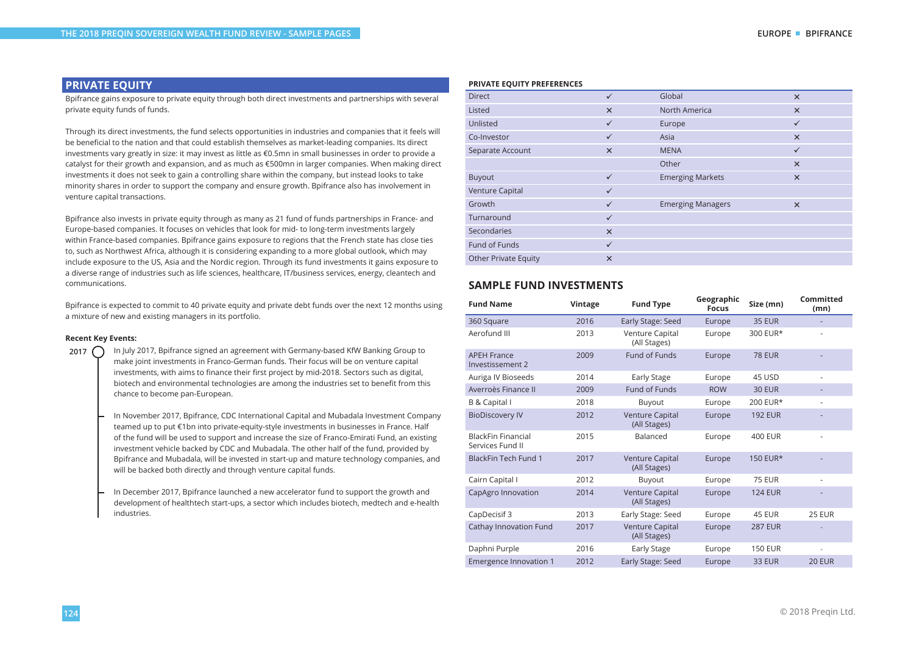### **PRIVATE EQUITY**

Bpifrance gains exposure to private equity through both direct investments and partnerships with several private equity funds of funds.

Through its direct investments, the fund selects opportunities in industries and companies that it feels will be beneficial to the nation and that could establish themselves as market-leading companies. Its direct investments vary greatly in size: it may invest as little as €0.5mn in small businesses in order to provide a catalyst for their growth and expansion, and as much as €500mn in larger companies. When making direct investments it does not seek to gain a controlling share within the company, but instead looks to take minority shares in order to support the company and ensure growth. Bpifrance also has involvement in venture capital transactions.

Bpifrance also invests in private equity through as many as 21 fund of funds partnerships in France- and Europe-based companies. It focuses on vehicles that look for mid- to long-term investments largely within France-based companies. Bpifrance gains exposure to regions that the French state has close ties to, such as Northwest Africa, although it is considering expanding to a more global outlook, which may include exposure to the US, Asia and the Nordic region. Through its fund investments it gains exposure to a diverse range of industries such as life sciences, healthcare, IT/business services, energy, cleantech and communications.

Bpifrance is expected to commit to 40 private equity and private debt funds over the next 12 months using a mixture of new and existing managers in its portfolio.

#### **Recent Key Events:**

2017 **C** In July 2017, Bpifrance signed an agreement with Germany-based KfW Banking Group to make joint investments in Franco-German funds. Their focus will be on venture capital investments, with aims to finance their first project by mid-2018. Sectors such as digital, biotech and environmental technologies are among the industries set to benefit from this chance to become pan-European.

> In November 2017, Bpifrance, CDC International Capital and Mubadala Investment Company teamed up to put €1bn into private-equity-style investments in businesses in France. Half of the fund will be used to support and increase the size of Franco-Emirati Fund, an existing investment vehicle backed by CDC and Mubadala. The other half of the fund, provided by Bpifrance and Mubadala, will be invested in start-up and mature technology companies, and will be backed both directly and through venture capital funds.

> In December 2017, Bpifrance launched a new accelerator fund to support the growth and development of healthtech start-ups, a sector which includes biotech, medtech and e-health industries.

#### **PRIVATE EQUITY PREFERENCES**

| <b>Direct</b>               | $\checkmark$ | Global                   | $\times$     |
|-----------------------------|--------------|--------------------------|--------------|
| Listed                      | $\times$     | North America            | $\times$     |
| Unlisted                    | $\checkmark$ | Europe                   | $\checkmark$ |
| Co-Investor                 | ✓            | Asia                     | $\times$     |
| Separate Account            | $\times$     | <b>MENA</b>              | $\checkmark$ |
|                             |              | Other                    | $\times$     |
| Buyout                      | $\checkmark$ | <b>Emerging Markets</b>  | $\times$     |
| Venture Capital             | $\checkmark$ |                          |              |
| Growth                      | $\checkmark$ | <b>Emerging Managers</b> | $\times$     |
| Turnaround                  | $\checkmark$ |                          |              |
| Secondaries                 | $\times$     |                          |              |
| Fund of Funds               | $\checkmark$ |                          |              |
| <b>Other Private Equity</b> | $\times$     |                          |              |

### **SAMPLE FUND INVESTMENTS**

| <b>Fund Name</b>                              | Vintage | <b>Fund Type</b>                       | Geographic<br><b>Focus</b> | Size (mn)      | Committed<br>(mn)        |
|-----------------------------------------------|---------|----------------------------------------|----------------------------|----------------|--------------------------|
| 360 Square                                    | 2016    | Early Stage: Seed                      | Europe                     | <b>35 EUR</b>  |                          |
| Aerofund III                                  | 2013    | Venture Capital<br>(All Stages)        | Europe                     | 300 EUR*       |                          |
| <b>APEH France</b><br>Investissement 2        | 2009    | Fund of Funds                          | Europe                     | <b>78 EUR</b>  |                          |
| Auriga IV Bioseeds                            | 2014    | <b>Early Stage</b>                     | Europe                     | 45 USD         | $\overline{\phantom{a}}$ |
| Averroès Finance II                           | 2009    | Fund of Funds                          | <b>ROW</b>                 | <b>30 EUR</b>  |                          |
| B & Capital I                                 | 2018    | Buyout                                 | Europe                     | 200 EUR*       | $\overline{\phantom{a}}$ |
| <b>BioDiscovery IV</b>                        | 2012    | Venture Capital<br>(All Stages)        | Europe                     | <b>192 EUR</b> |                          |
| <b>BlackFin Financial</b><br>Services Fund II | 2015    | Balanced                               | Europe                     | <b>400 EUR</b> | ä,                       |
| <b>BlackFin Tech Fund 1</b>                   | 2017    | Venture Capital<br>(All Stages)        | Europe                     | 150 EUR*       |                          |
| Cairn Capital I                               | 2012    | Buyout                                 | Europe                     | <b>75 EUR</b>  | $\overline{\phantom{a}}$ |
| CapAgro Innovation                            | 2014    | <b>Venture Capital</b><br>(All Stages) | Europe                     | <b>124 EUR</b> | ٠                        |
| CapDecisif 3                                  | 2013    | Early Stage: Seed                      | Europe                     | 45 EUR         | 25 EUR                   |
| Cathay Innovation Fund                        | 2017    | Venture Capital<br>(All Stages)        | Europe                     | <b>287 EUR</b> |                          |
| Daphni Purple                                 | 2016    | <b>Early Stage</b>                     | Europe                     | <b>150 EUR</b> | ÷,                       |
| <b>Emergence Innovation 1</b>                 | 2012    | Early Stage: Seed                      | Europe                     | <b>33 EUR</b>  | <b>20 EUR</b>            |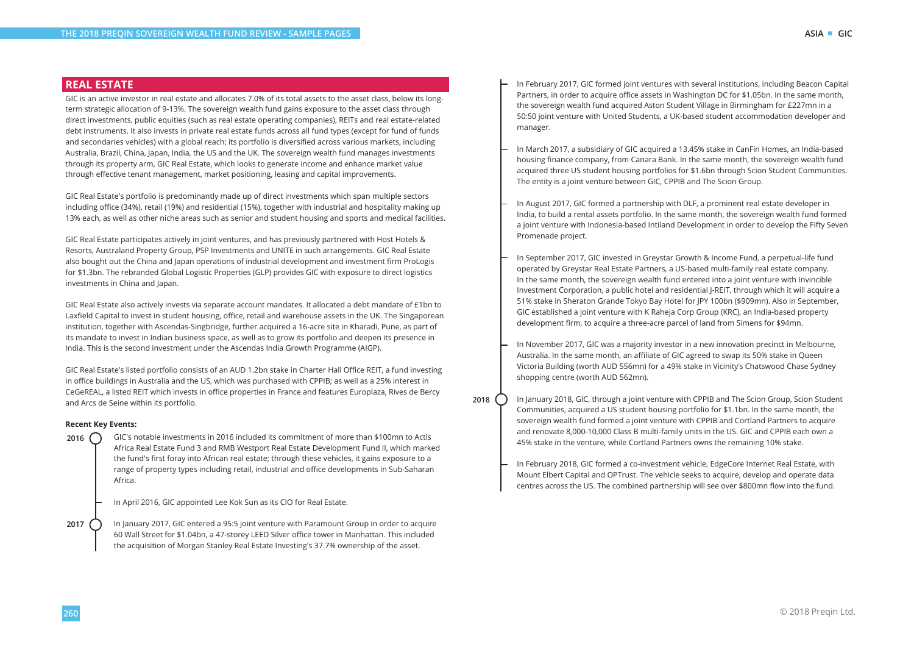### **REAL ESTATE**

GIC is an active investor in real estate and allocates 7.0% of its total assets to the asset class, below its longterm strategic allocation of 9-13%. The sovereign wealth fund gains exposure to the asset class through direct investments, public equities (such as real estate operating companies), REITs and real estate-related debt instruments. It also invests in private real estate funds across all fund types (except for fund of funds and secondaries vehicles) with a global reach; its portfolio is diversified across various markets, including Australia, Brazil, China, Japan, India, the US and the UK. The sovereign wealth fund manages investments through its property arm, GIC Real Estate, which looks to generate income and enhance market value through effective tenant management, market positioning, leasing and capital improvements.

GIC Real Estate's portfolio is predominantly made up of direct investments which span multiple sectors including office (34%), retail (19%) and residential (15%), together with industrial and hospitality making up 13% each, as well as other niche areas such as senior and student housing and sports and medical facilities.

GIC Real Estate participates actively in joint ventures, and has previously partnered with Host Hotels & Resorts, Australand Property Group, PSP Investments and UNITE in such arrangements. GIC Real Estate also bought out the China and Japan operations of industrial development and investment firm ProLogis for \$1.3bn. The rebranded Global Logistic Properties (GLP) provides GIC with exposure to direct logistics investments in China and Japan.

GIC Real Estate also actively invests via separate account mandates. It allocated a debt mandate of £1bn to Laxfield Capital to invest in student housing, office, retail and warehouse assets in the UK. The Singaporean institution, together with Ascendas-Singbridge, further acquired a 16-acre site in Kharadi, Pune, as part of its mandate to invest in Indian business space, as well as to grow its portfolio and deepen its presence in India. This is the second investment under the Ascendas India Growth Programme (AIGP).

GIC Real Estate's listed portfolio consists of an AUD 1.2bn stake in Charter Hall Office REIT, a fund investing in office buildings in Australia and the US, which was purchased with CPPIB; as well as a 25% interest in CeGeREAL, a listed REIT which invests in office properties in France and features Europlaza, Rives de Bercy and Arcs de Seine within its portfolio.

### **Recent Key Events:**

**2016** GIC's notable investments in 2016 included its commitment of more than \$100mn to Actis Africa Real Estate Fund 3 and RMB Westport Real Estate Development Fund II, which marked the fund's first foray into African real estate; through these vehicles, it gains exposure to a range of property types including retail, industrial and office developments in Sub-Saharan Africa.

In April 2016, GIC appointed Lee Kok Sun as its CIO for Real Estate.

**2017** In January 2017, GIC entered a 95:5 joint venture with Paramount Group in order to acquire 60 Wall Street for \$1.04bn, a 47-storey LEED Silver office tower in Manhattan. This included the acquisition of Morgan Stanley Real Estate Investing's 37.7% ownership of the asset.

- In February 2017, GIC formed joint ventures with several institutions, including Beacon Capital Partners, in order to acquire office assets in Washington DC for \$1.05bn. In the same month, the sovereign wealth fund acquired Aston Student Village in Birmingham for £227mn in a 50:50 joint venture with United Students, a UK-based student accommodation developer and manager.
- In March 2017, a subsidiary of GIC acquired a 13.45% stake in CanFin Homes, an India-based housing finance company, from Canara Bank. In the same month, the sovereign wealth fund acquired three US student housing portfolios for \$1.6bn through Scion Student Communities. The entity is a joint venture between GIC, CPPIB and The Scion Group.
- In August 2017, GIC formed a partnership with DLF, a prominent real estate developer in India, to build a rental assets portfolio. In the same month, the sovereign wealth fund formed a joint venture with Indonesia-based Intiland Development in order to develop the Fifty Seven Promenade project.
- In September 2017, GIC invested in Greystar Growth & Income Fund, a perpetual-life fund operated by Greystar Real Estate Partners, a US-based multi-family real estate company. In the same month, the sovereign wealth fund entered into a joint venture with Invincible Investment Corporation, a public hotel and residential J-REIT, through which it will acquire a 51% stake in Sheraton Grande Tokyo Bay Hotel for JPY 100bn (\$909mn). Also in September, GIC established a joint venture with K Raheja Corp Group (KRC), an India-based property development firm, to acquire a three-acre parcel of land from Simens for \$94mn.
- In November 2017, GIC was a majority investor in a new innovation precinct in Melbourne, Australia. In the same month, an affiliate of GIC agreed to swap its 50% stake in Queen Victoria Building (worth AUD 556mn) for a 49% stake in Vicinity's Chatswood Chase Sydney shopping centre (worth AUD 562mn).
- **2018** In January 2018, GIC, through a joint venture with CPPIB and The Scion Group, Scion Student Communities, acquired a US student housing portfolio for \$1.1bn. In the same month, the sovereign wealth fund formed a joint venture with CPPIB and Cortland Partners to acquire and renovate 8,000-10,000 Class B multi-family units in the US. GIC and CPPIB each own a 45% stake in the venture, while Cortland Partners owns the remaining 10% stake.
	- In February 2018, GIC formed a co-investment vehicle, EdgeCore Internet Real Estate, with Mount Elbert Capital and OPTrust. The vehicle seeks to acquire, develop and operate data centres across the US. The combined partnership will see over \$800mn flow into the fund.